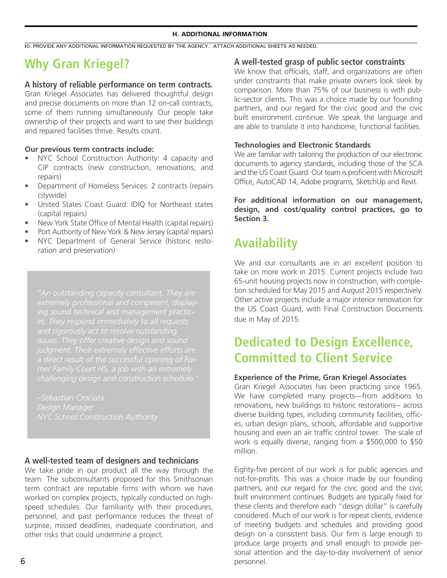#### **H. ADDITIONAL INFORMATION**

30. PROVIDE ANY ADDITIONAL INFORMATION REQUESTED BY THE AGENCY. ATTACH ADDITIONAL SHEETS AS NEEDED.

# **Why Gran Kriegel?**

#### **A history of reliable performance on term contracts.**

Gran Kriegel Associates has delivered thoughtful design and precise documents on more than 12 on-call contracts, some of them running simultaneously. Our people take ownership of their projects and want to see their buildings and repaired facilities thrive. Results count.

#### **Our previous term contracts include:**

- NYC School Construction Authority: 4 capacity and CIP contracts (new construction, renovations, and repairs)
- Department of Homeless Services: 2 contracts (repairs citywide)
- United States Coast Guard: IDIQ for Northeast states (capital repairs)
- New York State Office of Mental Health (capital repairs)
- Port Authority of New York & New Jersey (capital repairs)
- NYC Department of General Service (historic restoration and preservation)

*extremely professional and competent, displaya direct result of the successful opening of Forchallenging design and construction schedule."* 

*–Sebastian Crociata Design Manager*

### A well-tested team of designers and technicians

We take pride in our product all the way through the home Eighty-five pe team. The subconsultants proposed for this Smithsonian and tot-for-profits. This was a choice made by term contract are reputable firms with whom we have worked on complex projects, typically conducted on highspeed schedules. Our familiarity with their procedures, personnel, and past performance reduces the threat of surprise, missed deadlines, inadequate coordination, and other risks that could undermine a project.

### **A well-tested grasp of public sector constraints**

We know that officials, staff, and organizations are often under constraints that make private owners look sleek by comparison. More than 75% of our business is with public-sector clients. This was a choice made by our founding partners, and our regard for the civic good and the civic built environment continue. We speak the language and are able to translate it into handsome, functional facilities.

#### **Technologies and Electronic Standards**

We are familiar with tailoring the production of our electronic documents to agency standards, including those of the SCA and the US Coast Guard. Our team is proficient with Microsoft Office, AutoCAD 14, Adobe programs, SketchUp and Revit.

**For additional information on our management, design, and cost/quality control practices, go to Section 3.** 

## **Availability**

We and our consultants are in an excellent position to take on more work in 2015. Current projects include two 65-unit housing projects now in construction, with completion scheduled for May 2015 and August 2015 respectively. Other active projects include a major interior renovation for the US Coast Guard, with Final Construction Documents due in May of 2015.

## **Dedicated to Design Excellence, Committed to Client Service**

#### **Experience of the Prime, Gran Kriegel Associates**

Gran Kriegel Associates has been practicing since 1965. We have completed many projects—from additions to renovations, new buildings to historic restorations-- across diverse building types, including community facilities, offices, urban design plans, schools, affordable and supportive housing and even an air traffic control tower. The scale of work is equally diverse, ranging from a \$500,000 to \$50 million.

Eighty-five percent of our work is for public agencies and not-for-profits. This was a choice made by our founding partners, and our regard for the civic good and the civic built environment continues. Budgets are typically fixed for these clients and therefore each "design dollar" is carefully considered. Much of our work is for repeat clients, evidence **STANDARD FORM 3300 (STAND 3100 (STAND 3100 (6)** considered. Which is to repeat element, evidence design on a consistent basis. Our firm is large enough to produce large projects and small enough to provide personal attention and the day-to-day involvement of senior personnel.